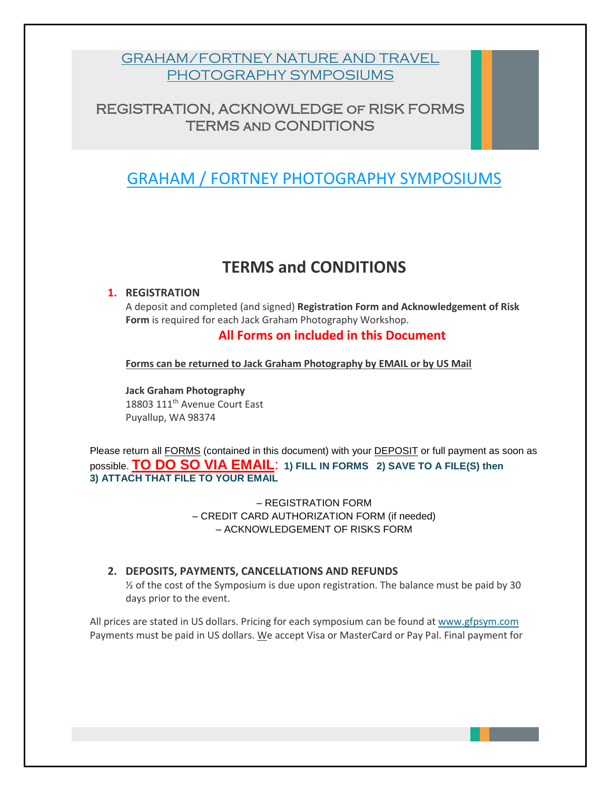### [GRAHAM/FORTNEY NATURE AND TRAVEL](http://www.gfpsym.com/) [PHOTOGRAPHY](http://www.gfpsym.com/) SYMPOSIUMS

### REGISTRATION, ACKNOWLEDGE of RISK FORMS TERMS and CONDITIONS

## [GRAHAM / FORTNEY](http://www.gfpsym.com/) PHOTOGRAPHY SYMPOSIUMS

## **TERMS and CONDITIONS**

#### **1. REGISTRATION**

A deposit and completed (and signed) **Registration Form and Acknowledgement of Risk Form** is required for each Jack Graham Photography Workshop.

#### **All Forms on included in this Document**

**Forms can be returned to Jack Graham Photography by EMAIL or by US Mail**

**Jack Graham Photography** 18803 111th Avenue Court East Puyallup, WA 98374

Please return all FORMS (contained in this document) with your DEPOSIT or full payment as soon as possible. **TO DO SO VIA EMAIL**: **1) FILL IN FORMS 2) SAVE TO A FILE(S) then 3) ATTACH THAT FILE TO YOUR EMAIL**

> – REGISTRATION FORM – CREDIT CARD AUTHORIZATION FORM (if needed) – ACKNOWLEDGEMENT OF RISKS FORM

#### **2. DEPOSITS, PAYMENTS, CANCELLATIONS AND REFUNDS**

 $\frac{1}{2}$  of the cost of the Symposium is due upon registration. The balance must be paid by 30 days prior to the event.

All prices are stated in US dollars. Pricing for each symposium can be found at [www.gfpsym.com](http://www.gfpsym.com/) Payments must be paid in US dollars. We accept Visa or MasterCard or Pay Pal. Final payment for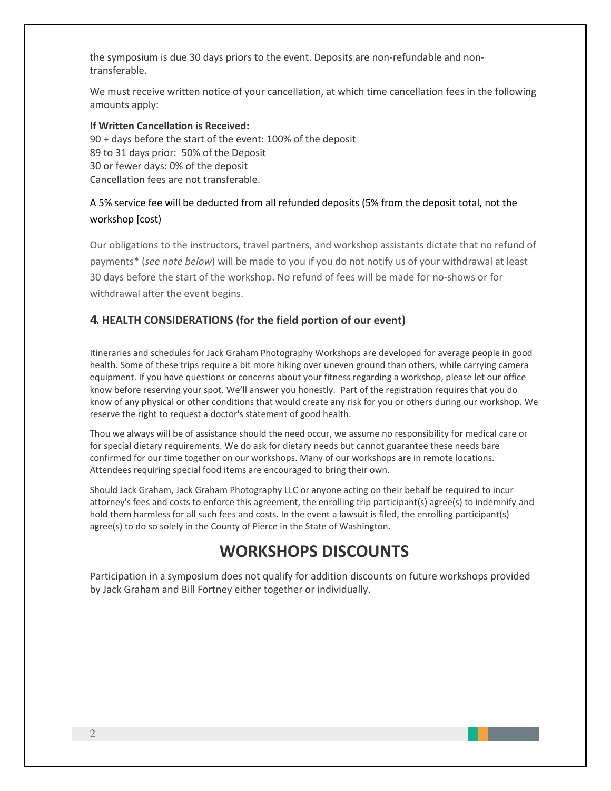the symposium is due 30 days priors to the event. Deposits are non-refundable and nontransferable.

We must receive written notice of your cancellation, at which time cancellation fees in the following amounts apply:

**If Written Cancellation is Received:**  90 + days before the start of the event: 100% of the deposit 89 to 31 days prior: 50% of the Deposit 30 or fewer days: 0% of the deposit Cancellation fees are not transferable.

#### A 5% service fee will be deducted from all refunded deposits (5% from the deposit total, not the workshop [cost)

Our obligations to the instructors, travel partners, and workshop assistants dictate that no refund of payments\* (*see note below*) will be made to you if you do not notify us of your withdrawal at least 30 days before the start of the workshop. No refund of fees will be made for no-shows or for withdrawal after the event begins.

#### 4**. HEALTH CONSIDERATIONS (for the field portion of our event)**

Itineraries and schedules for Jack Graham Photography Workshops are developed for average people in good health. Some of these trips require a bit more hiking over uneven ground than others, while carrying camera equipment. If you have questions or concerns about your fitness regarding a workshop, please let our office know before reserving your spot. We'll answer you honestly. Part of the registration requires that you do know of any physical or other conditions that would create any risk for you or others during our workshop. We reserve the right to request a doctor's statement of good health.

Thou we always will be of assistance should the need occur, we assume no responsibility for medical care or for special dietary requirements. We do ask for dietary needs but cannot guarantee these needs bare confirmed for our time together on our workshops. Many of our workshops are in remote locations. Attendees requiring special food items are encouraged to bring their own.

Should Jack Graham, Jack Graham Photography LLC or anyone acting on their behalf be required to incur attorney's fees and costs to enforce this agreement, the enrolling trip participant(s) agree(s) to indemnify and hold them harmless for all such fees and costs. In the event a lawsuit is filed, the enrolling participant(s) agree(s) to do so solely in the County of Pierce in the State of Washington.

# **WORKSHOPS DISCOUNTS**

Participation in a symposium does not qualify for addition discounts on future workshops provided by Jack Graham and Bill Fortney either together or individually.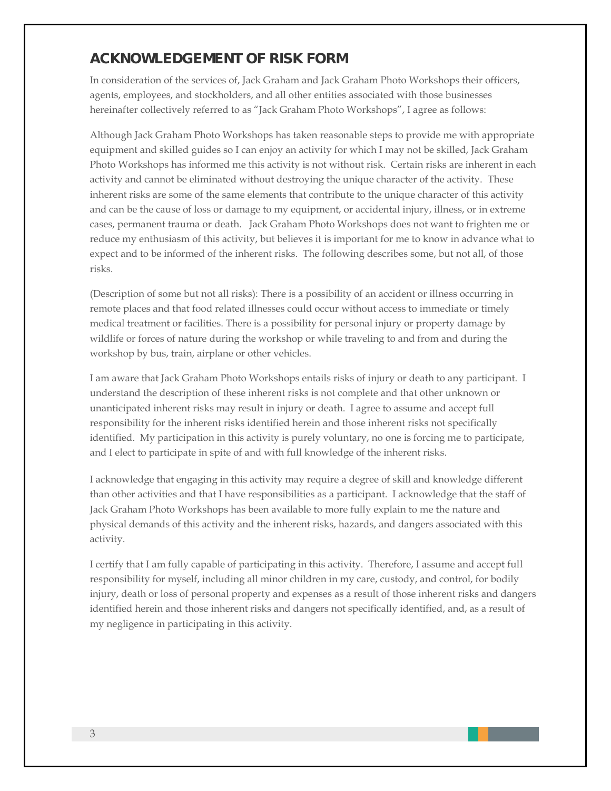## ACKNOWLEDGEMENT OF RISK FORM

In consideration of the services of, Jack Graham and Jack Graham Photo Workshops their officers, agents, employees, and stockholders, and all other entities associated with those businesses hereinafter collectively referred to as "Jack Graham Photo Workshops", I agree as follows:

Although Jack Graham Photo Workshops has taken reasonable steps to provide me with appropriate equipment and skilled guides so I can enjoy an activity for which I may not be skilled, Jack Graham Photo Workshops has informed me this activity is not without risk. Certain risks are inherent in each activity and cannot be eliminated without destroying the unique character of the activity. These inherent risks are some of the same elements that contribute to the unique character of this activity and can be the cause of loss or damage to my equipment, or accidental injury, illness, or in extreme cases, permanent trauma or death. Jack Graham Photo Workshops does not want to frighten me or reduce my enthusiasm of this activity, but believes it is important for me to know in advance what to expect and to be informed of the inherent risks. The following describes some, but not all, of those risks.

(Description of some but not all risks): There is a possibility of an accident or illness occurring in remote places and that food related illnesses could occur without access to immediate or timely medical treatment or facilities. There is a possibility for personal injury or property damage by wildlife or forces of nature during the workshop or while traveling to and from and during the workshop by bus, train, airplane or other vehicles.

I am aware that Jack Graham Photo Workshops entails risks of injury or death to any participant. I understand the description of these inherent risks is not complete and that other unknown or unanticipated inherent risks may result in injury or death. I agree to assume and accept full responsibility for the inherent risks identified herein and those inherent risks not specifically identified. My participation in this activity is purely voluntary, no one is forcing me to participate, and I elect to participate in spite of and with full knowledge of the inherent risks.

I acknowledge that engaging in this activity may require a degree of skill and knowledge different than other activities and that I have responsibilities as a participant. I acknowledge that the staff of Jack Graham Photo Workshops has been available to more fully explain to me the nature and physical demands of this activity and the inherent risks, hazards, and dangers associated with this activity.

I certify that I am fully capable of participating in this activity. Therefore, I assume and accept full responsibility for myself, including all minor children in my care, custody, and control, for bodily injury, death or loss of personal property and expenses as a result of those inherent risks and dangers identified herein and those inherent risks and dangers not specifically identified, and, as a result of my negligence in participating in this activity.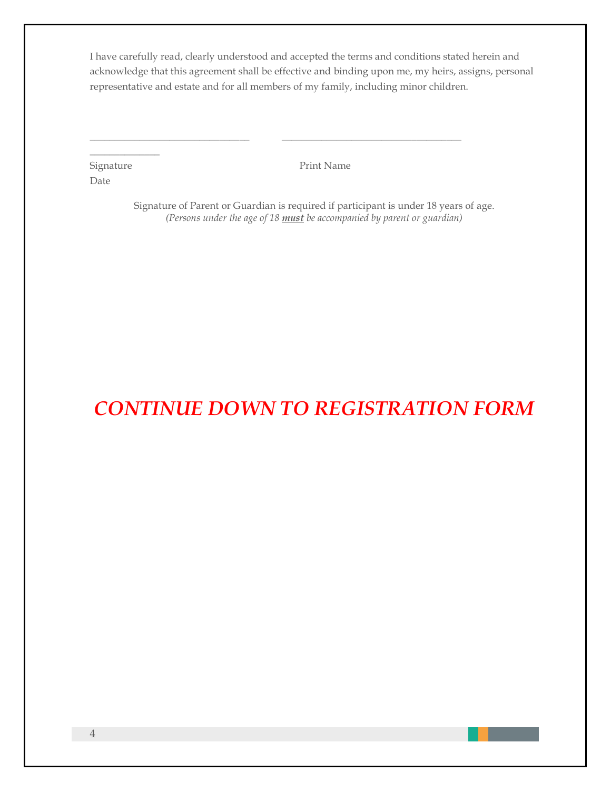I have carefully read, clearly understood and accepted the terms and conditions stated herein and acknowledge that this agreement shall be effective and binding upon me, my heirs, assigns, personal representative and estate and for all members of my family, including minor children.

\_\_\_\_\_\_\_\_\_\_\_\_\_\_\_\_\_\_\_\_\_\_\_\_\_\_\_\_\_\_\_\_ \_\_\_\_\_\_\_\_\_\_\_\_\_\_\_\_\_\_\_\_\_\_\_\_\_\_\_\_\_\_\_\_\_\_\_\_

| Signature |
|-----------|
| Date      |

 $\mathcal{L}_\text{max}$ 

Print Name

Signature of Parent or Guardian is required if participant is under 18 years of age. *(Persons under the age of 18 must be accompanied by parent or guardian)*

# *CONTINUE DOWN TO REGISTRATION FORM*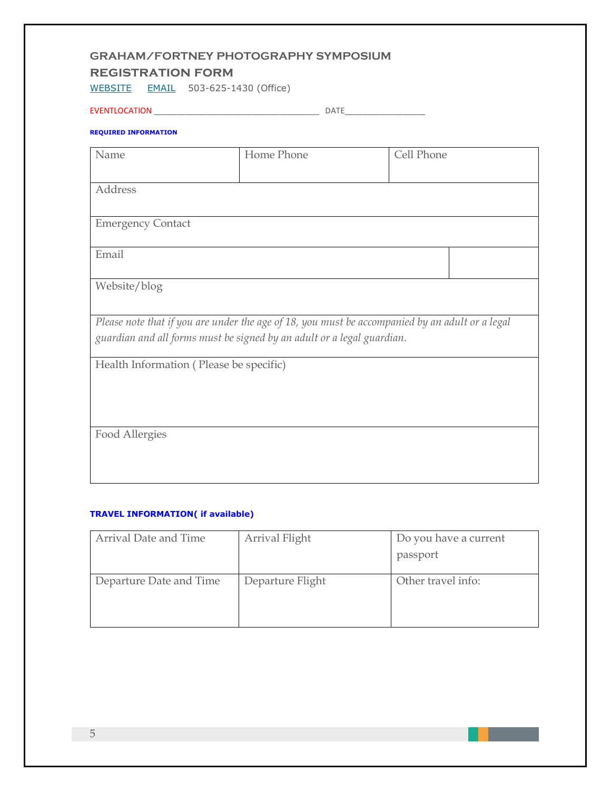#### **GRAHAM/FORTNEY PHOTOGRAPHY SYMPOSIUM**

#### **registration form**

[WEBSITE](http://www.gfpsym.com/) [EMAIL](mailto:jack@jackgrahamphoto.com) 503-625-1430 (Office)

EVENTLOCATION \_\_\_\_\_\_\_\_\_\_\_\_\_\_\_\_\_\_\_\_\_\_\_\_\_\_\_\_\_\_\_\_\_\_\_\_\_ DATE\_\_\_\_\_\_\_\_\_\_\_\_\_\_\_\_\_\_

#### **REQUIRED INFORMATION**

| Name                                    | Home Phone                                                                                      | Cell Phone |
|-----------------------------------------|-------------------------------------------------------------------------------------------------|------------|
|                                         |                                                                                                 |            |
|                                         |                                                                                                 |            |
| Address                                 |                                                                                                 |            |
|                                         |                                                                                                 |            |
|                                         |                                                                                                 |            |
| <b>Emergency Contact</b>                |                                                                                                 |            |
|                                         |                                                                                                 |            |
| Email                                   |                                                                                                 |            |
|                                         |                                                                                                 |            |
|                                         |                                                                                                 |            |
| Website/blog                            |                                                                                                 |            |
|                                         |                                                                                                 |            |
|                                         |                                                                                                 |            |
|                                         | Please note that if you are under the age of 18, you must be accompanied by an adult or a legal |            |
|                                         |                                                                                                 |            |
|                                         | guardian and all forms must be signed by an adult or a legal guardian.                          |            |
|                                         |                                                                                                 |            |
| Health Information (Please be specific) |                                                                                                 |            |
|                                         |                                                                                                 |            |
|                                         |                                                                                                 |            |
|                                         |                                                                                                 |            |
|                                         |                                                                                                 |            |
|                                         |                                                                                                 |            |
| Food Allergies                          |                                                                                                 |            |
|                                         |                                                                                                 |            |
|                                         |                                                                                                 |            |
|                                         |                                                                                                 |            |
|                                         |                                                                                                 |            |

#### **TRAVEL INFORMATION( if available)**

| Arrival Date and Time   | Arrival Flight   | Do you have a current<br>passport |
|-------------------------|------------------|-----------------------------------|
| Departure Date and Time | Departure Flight | Other travel info:                |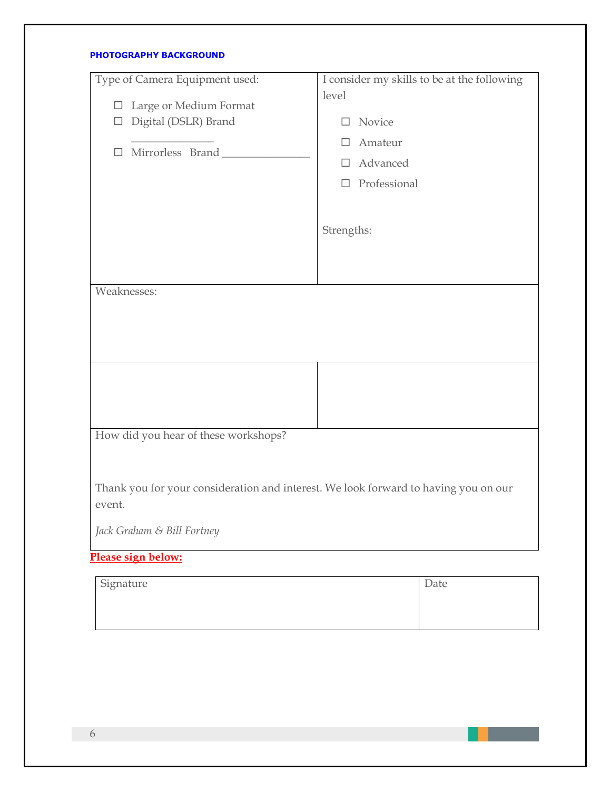#### **PHOTOGRAPHY BACKGROUND**

| Type of Camera Equipment used:                                                                | I consider my skills to be at the following |
|-----------------------------------------------------------------------------------------------|---------------------------------------------|
| Large or Medium Format<br>$\Box$                                                              | level                                       |
| Digital (DSLR) Brand<br>$\Box$                                                                | Novice<br>П                                 |
|                                                                                               | Amateur<br>П                                |
| Mirrorless Brand<br>□                                                                         | Advanced<br>П.                              |
|                                                                                               | $\Box$ Professional                         |
|                                                                                               |                                             |
|                                                                                               |                                             |
|                                                                                               | Strengths:                                  |
|                                                                                               |                                             |
|                                                                                               |                                             |
| Weaknesses:                                                                                   |                                             |
|                                                                                               |                                             |
|                                                                                               |                                             |
|                                                                                               |                                             |
|                                                                                               |                                             |
|                                                                                               |                                             |
|                                                                                               |                                             |
| How did you hear of these workshops?                                                          |                                             |
|                                                                                               |                                             |
| Thank you for your consideration and interest. We look forward to having you on our<br>event. |                                             |
| Jack Graham & Bill Fortney                                                                    |                                             |
| Please sign below:                                                                            |                                             |

| Signature | Date |
|-----------|------|
|           |      |
|           |      |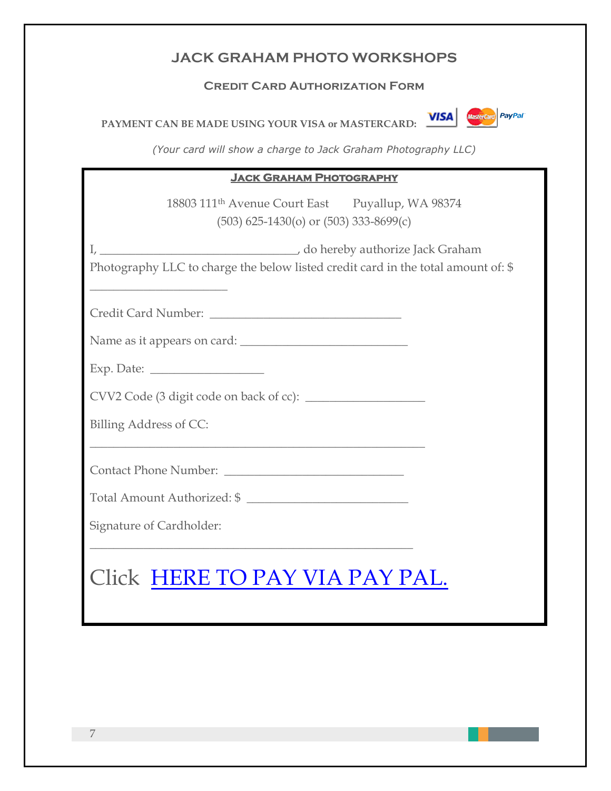## **JACK GRAHAM PHOTO WORKSHOPS**

#### **Credit Card Authorization Form**

PAYMENT CAN BE MADE USING YOUR VISA or MASTERCARD: **VISA WISH** 



*(Your card will show a charge to Jack Graham Photography LLC)*

#### **Jack Graham Photography**

18803 111th Avenue Court East Puyallup, WA 98374 (503) 625-1430(o) or (503) 333-8699(c)

I, \_\_\_\_\_\_\_\_\_\_\_\_\_\_\_\_\_\_\_\_\_\_\_\_\_\_\_\_\_\_\_\_\_, do hereby authorize Jack Graham

Photography LLC to charge the below listed credit card in the total amount of: \$

Credit Card Number:

Name as it appears on card:

| Exp. Date: |  |
|------------|--|
|            |  |

 $\overline{\phantom{a}}$  , where  $\overline{\phantom{a}}$  , where  $\overline{\phantom{a}}$  , where  $\overline{\phantom{a}}$ 

CVV2 Code (3 digit code on back of cc): \_\_\_\_\_\_\_\_\_\_\_\_\_\_\_\_\_\_\_\_

\_\_\_\_\_\_\_\_\_\_\_\_\_\_\_\_\_\_\_\_\_\_\_\_\_\_\_\_\_\_\_\_\_\_\_\_\_\_\_\_\_\_\_\_\_\_\_\_\_\_\_\_\_\_\_\_

Billing Address of CC:

Contact Phone Number:

Total Amount Authorized: \$ \_\_\_\_\_\_\_\_\_\_\_\_\_\_\_\_\_\_\_\_\_\_\_\_\_\_\_

\_\_\_\_\_\_\_\_\_\_\_\_\_\_\_\_\_\_\_\_\_\_\_\_\_\_\_\_\_\_\_\_\_\_\_\_\_\_\_\_\_\_\_\_\_\_\_\_\_\_\_\_\_\_

Signature of Cardholder:

# Click [HERE TO PAY VIA PAY PAL.](http://paypal.me/JACKGRAHAMPHOTO)